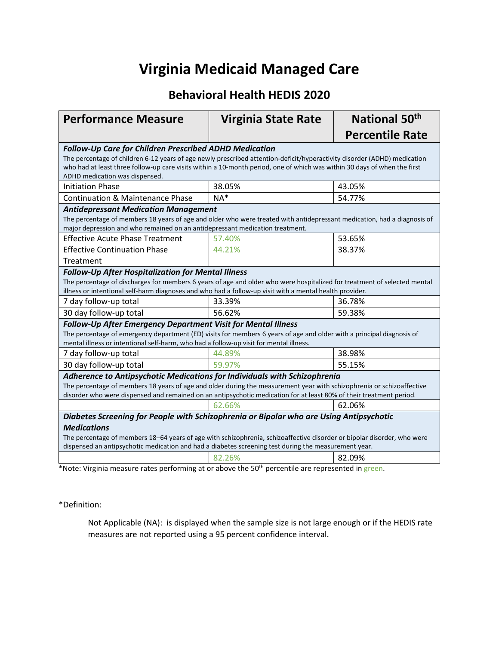## **Virginia Medicaid Managed Care**

#### **Behavioral Health HEDIS 2020**

| <b>Performance Measure</b>                                                                                                                                                                                                                                                                                                                              | <b>Virginia State Rate</b> | National 50 <sup>th</sup> |  |  |  |  |  |
|---------------------------------------------------------------------------------------------------------------------------------------------------------------------------------------------------------------------------------------------------------------------------------------------------------------------------------------------------------|----------------------------|---------------------------|--|--|--|--|--|
|                                                                                                                                                                                                                                                                                                                                                         |                            | <b>Percentile Rate</b>    |  |  |  |  |  |
| <b>Follow-Up Care for Children Prescribed ADHD Medication</b><br>The percentage of children 6-12 years of age newly prescribed attention-deficit/hyperactivity disorder (ADHD) medication<br>who had at least three follow-up care visits within a 10-month period, one of which was within 30 days of when the first<br>ADHD medication was dispensed. |                            |                           |  |  |  |  |  |
| <b>Initiation Phase</b>                                                                                                                                                                                                                                                                                                                                 | 38.05%                     | 43.05%                    |  |  |  |  |  |
| <b>Continuation &amp; Maintenance Phase</b>                                                                                                                                                                                                                                                                                                             | $NA*$                      | 54.77%                    |  |  |  |  |  |
| <b>Antidepressant Medication Management</b><br>The percentage of members 18 years of age and older who were treated with antidepressant medication, had a diagnosis of<br>major depression and who remained on an antidepressant medication treatment.                                                                                                  |                            |                           |  |  |  |  |  |
| <b>Effective Acute Phase Treatment</b>                                                                                                                                                                                                                                                                                                                  | 57.40%                     | 53.65%                    |  |  |  |  |  |
| <b>Effective Continuation Phase</b><br>Treatment                                                                                                                                                                                                                                                                                                        | 44.21%                     | 38.37%                    |  |  |  |  |  |
| <b>Follow-Up After Hospitalization for Mental Illness</b><br>The percentage of discharges for members 6 years of age and older who were hospitalized for treatment of selected mental<br>illness or intentional self-harm diagnoses and who had a follow-up visit with a mental health provider.                                                        |                            |                           |  |  |  |  |  |
| 7 day follow-up total                                                                                                                                                                                                                                                                                                                                   | 33.39%                     | 36.78%                    |  |  |  |  |  |
| 30 day follow-up total                                                                                                                                                                                                                                                                                                                                  | 56.62%                     | 59.38%                    |  |  |  |  |  |
| Follow-Up After Emergency Department Visit for Mental Illness<br>The percentage of emergency department (ED) visits for members 6 years of age and older with a principal diagnosis of<br>mental illness or intentional self-harm, who had a follow-up visit for mental illness.                                                                        |                            |                           |  |  |  |  |  |
| 7 day follow-up total                                                                                                                                                                                                                                                                                                                                   | 44.89%                     | 38.98%                    |  |  |  |  |  |
| 30 day follow-up total                                                                                                                                                                                                                                                                                                                                  | 59.97%                     | 55.15%                    |  |  |  |  |  |
| Adherence to Antipsychotic Medications for Individuals with Schizophrenia<br>The percentage of members 18 years of age and older during the measurement year with schizophrenia or schizoaffective<br>disorder who were dispensed and remained on an antipsychotic medication for at least 80% of their treatment period.                               |                            |                           |  |  |  |  |  |
|                                                                                                                                                                                                                                                                                                                                                         | 62.66%                     | 62.06%                    |  |  |  |  |  |
| Diabetes Screening for People with Schizophrenia or Bipolar who are Using Antipsychotic<br><b>Medications</b><br>The percentage of members 18-64 years of age with schizophrenia, schizoaffective disorder or bipolar disorder, who were<br>dispensed an antipsychotic medication and had a diabetes screening test during the measurement year.        |                            |                           |  |  |  |  |  |
|                                                                                                                                                                                                                                                                                                                                                         | 82.26%                     | 82.09%                    |  |  |  |  |  |

\*Note: Virginia measure rates performing at or above the 50<sup>th</sup> percentile are represented in green.

\*Definition:

Not Applicable (NA): is displayed when the sample size is not large enough or if the HEDIS rate measures are not reported using a 95 percent confidence interval.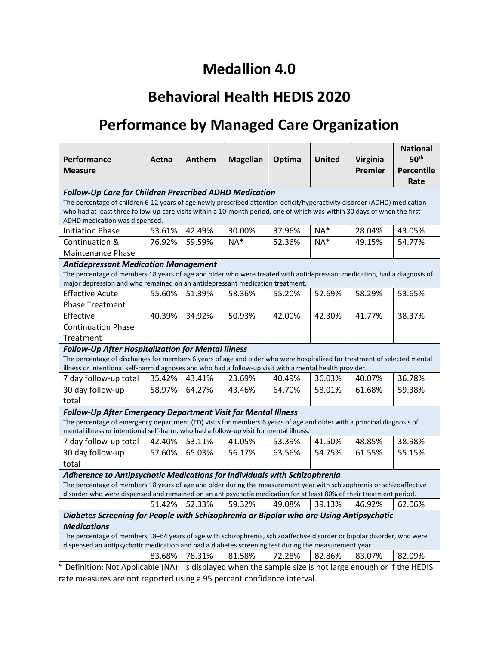## **Medallion 4.0**

## **Behavioral Health HEDIS 2020**

# **Performance by Managed Care Organization**

| Performance<br>Measure                                                                                                                                                                                                                       | Aetna                       | Anthem  | <b>Magellan</b>               | Optima | <b>United</b> | Virginia<br>Premier | <b>National</b><br>50 <sup>th</sup><br>Percentile<br>Rate |  |
|----------------------------------------------------------------------------------------------------------------------------------------------------------------------------------------------------------------------------------------------|-----------------------------|---------|-------------------------------|--------|---------------|---------------------|-----------------------------------------------------------|--|
| <b>Follow-Up Care for Children Prescribed ADHD Medication</b>                                                                                                                                                                                |                             |         |                               |        |               |                     |                                                           |  |
| The percentage of children 6-12 years of age newly prescribed attention-deficit/hyperactivity disorder (ADHD) medication                                                                                                                     |                             |         |                               |        |               |                     |                                                           |  |
| who had at least three follow-up care visits within a 10-month period, one of which was within 30 days of when the first<br>ADHD medication was dispensed.                                                                                   |                             |         |                               |        |               |                     |                                                           |  |
| <b>Initiation Phase</b>                                                                                                                                                                                                                      | 53.61%                      | 42.49%  | 30.00%                        | 37.96% | $NA^*$        | 28.04%              | 43.05%                                                    |  |
| Continuation &                                                                                                                                                                                                                               | 76.92%                      | 59.59%  | $NA*$                         | 52.36% | $NA*$         | 49.15%              | 54.77%                                                    |  |
| Maintenance Phase                                                                                                                                                                                                                            |                             |         |                               |        |               |                     |                                                           |  |
| <b>Antidepressant Medication Management</b>                                                                                                                                                                                                  |                             |         |                               |        |               |                     |                                                           |  |
| The percentage of members 18 years of age and older who were treated with antidepressant medication, had a diagnosis of                                                                                                                      |                             |         |                               |        |               |                     |                                                           |  |
| major depression and who remained on an antidepressant medication treatment.                                                                                                                                                                 |                             |         |                               |        |               |                     |                                                           |  |
| <b>Effective Acute</b>                                                                                                                                                                                                                       | 55.60%                      | 51.39%  | 58.36%                        | 55.20% | 52.69%        | 58.29%              | 53.65%                                                    |  |
| <b>Phase Treatment</b>                                                                                                                                                                                                                       |                             |         |                               |        |               |                     |                                                           |  |
| Effective                                                                                                                                                                                                                                    | 40.39%                      | 34.92%  | 50.93%                        | 42.00% | 42.30%        | 41.77%              | 38.37%                                                    |  |
| <b>Continuation Phase</b>                                                                                                                                                                                                                    |                             |         |                               |        |               |                     |                                                           |  |
| Treatment                                                                                                                                                                                                                                    |                             |         |                               |        |               |                     |                                                           |  |
| <b>Follow-Up After Hospitalization for Mental Illness</b>                                                                                                                                                                                    |                             |         |                               |        |               |                     |                                                           |  |
| The percentage of discharges for members 6 years of age and older who were hospitalized for treatment of selected mental                                                                                                                     |                             |         |                               |        |               |                     |                                                           |  |
| illness or intentional self-harm diagnoses and who had a follow-up visit with a mental health provider.                                                                                                                                      |                             |         |                               |        |               |                     |                                                           |  |
| 7 day follow-up total                                                                                                                                                                                                                        | 35.42%                      | 43.41%  | 23.69%                        | 40.49% | 36.03%        | 40.07%              | 36.78%                                                    |  |
| 30 day follow-up                                                                                                                                                                                                                             | 58.97%                      | 64.27%  | 43.46%                        | 64.70% | 58.01%        | 61.68%              | 59.38%                                                    |  |
| total                                                                                                                                                                                                                                        |                             |         |                               |        |               |                     |                                                           |  |
| Follow-Up After Emergency Department Visit for Mental Illness                                                                                                                                                                                |                             |         |                               |        |               |                     |                                                           |  |
| The percentage of emergency department (ED) visits for members 6 years of age and older with a principal diagnosis of                                                                                                                        |                             |         |                               |        |               |                     |                                                           |  |
| mental illness or intentional self-harm, who had a follow-up visit for mental illness.                                                                                                                                                       |                             |         |                               |        |               |                     |                                                           |  |
| 7 day follow-up total                                                                                                                                                                                                                        | 42.40%                      | 53.11%  | 41.05%                        | 53.39% | 41.50%        | 48.85%              | 38.98%                                                    |  |
| 30 day follow-up                                                                                                                                                                                                                             | 57.60%                      | 65.03%  | 56.17%                        | 63.56% | 54.75%        | 61.55%              | 55.15%                                                    |  |
| total                                                                                                                                                                                                                                        |                             |         |                               |        |               |                     |                                                           |  |
| Adherence to Antipsychotic Medications for Individuals with Schizophrenia                                                                                                                                                                    |                             |         |                               |        |               |                     |                                                           |  |
| The percentage of members 18 years of age and older during the measurement year with schizophrenia or schizoaffective<br>disorder who were dispensed and remained on an antipsychotic medication for at least 80% of their treatment period. |                             |         |                               |        |               |                     |                                                           |  |
|                                                                                                                                                                                                                                              | 51.42%                      | 52.33%  | 59.32%                        | 49.08% | 39.13%        | 46.92%              | 62.06%                                                    |  |
|                                                                                                                                                                                                                                              |                             |         |                               |        |               |                     |                                                           |  |
| Diabetes Screening for People with Schizophrenia or Bipolar who are Using Antipsychotic<br><b>Medications</b>                                                                                                                                |                             |         |                               |        |               |                     |                                                           |  |
| The percentage of members 18-64 years of age with schizophrenia, schizoaffective disorder or bipolar disorder, who were                                                                                                                      |                             |         |                               |        |               |                     |                                                           |  |
| dispensed an antipsychotic medication and had a diabetes screening test during the measurement year.                                                                                                                                         |                             |         |                               |        |               |                     |                                                           |  |
|                                                                                                                                                                                                                                              | 83.68%                      | 78.31%  | 81.58%                        | 72.28% | 82.86%        | 83.07%              | 82.09%                                                    |  |
| $\cdot$                                                                                                                                                                                                                                      | $L = I + I + I + I + I + I$ | diamond | $\mathbf{A}$ and $\mathbf{A}$ |        |               |                     | $\sim$ 1.0 $\sim$ 1.0 $\sim$                              |  |

Definition: Not Applicable (NA): is displayed when the sample size is not large enough or if the HEDIS rate measures are not reported using a 95 percent confidence interval.